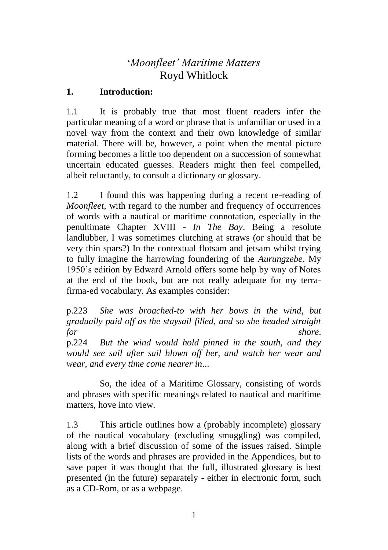# '*Moonfleet' Maritime Matters* Royd Whitlock

## **1. Introduction:**

1.1 It is probably true that most fluent readers infer the particular meaning of a word or phrase that is unfamiliar or used in a novel way from the context and their own knowledge of similar material. There will be, however, a point when the mental picture forming becomes a little too dependent on a succession of somewhat uncertain educated guesses. Readers might then feel compelled, albeit reluctantly, to consult a dictionary or glossary.

1.2 I found this was happening during a recent re-reading of *Moonfleet*, with regard to the number and frequency of occurrences of words with a nautical or maritime connotation, especially in the penultimate Chapter XVIII - *In The Bay*. Being a resolute landlubber, I was sometimes clutching at straws (or should that be very thin spars?) In the contextual flotsam and jetsam whilst trying to fully imagine the harrowing foundering of the *Aurungzebe*. My 1950's edition by Edward Arnold offers some help by way of Notes at the end of the book, but are not really adequate for my terrafirma-ed vocabulary. As examples consider:

p.223 *She was broached-to with her bows in the wind, but gradually paid off as the staysail filled, and so she headed straight for shore*.

p.224 *But the wind would hold pinned in the south, and they would see sail after sail blown off her, and watch her wear and wear, and every time come nearer in*...

So, the idea of a Maritime Glossary, consisting of words and phrases with specific meanings related to nautical and maritime matters, hove into view.

1.3 This article outlines how a (probably incomplete) glossary of the nautical vocabulary (excluding smuggling) was compiled, along with a brief discussion of some of the issues raised. Simple lists of the words and phrases are provided in the Appendices, but to save paper it was thought that the full, illustrated glossary is best presented (in the future) separately - either in electronic form, such as a CD-Rom, or as a webpage.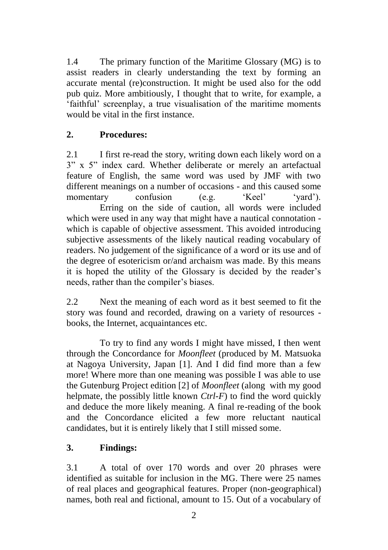1.4 The primary function of the Maritime Glossary (MG) is to assist readers in clearly understanding the text by forming an accurate mental (re)construction. It might be used also for the odd pub quiz. More ambitiously, I thought that to write, for example, a 'faithful' screenplay, a true visualisation of the maritime moments would be vital in the first instance.

# **2. Procedures:**

2.1 I first re-read the story, writing down each likely word on a 3" x 5" index card. Whether deliberate or merely an artefactual feature of English, the same word was used by JMF with two different meanings on a number of occasions - and this caused some momentary confusion (e.g. 'Keel' 'yard'). Erring on the side of caution, all words were included which were used in any way that might have a nautical connotation which is capable of objective assessment. This avoided introducing subjective assessments of the likely nautical reading vocabulary of readers. No judgement of the significance of a word or its use and of the degree of esotericism or/and archaism was made. By this means it is hoped the utility of the Glossary is decided by the reader's needs, rather than the compiler's biases.

2.2 Next the meaning of each word as it best seemed to fit the story was found and recorded, drawing on a variety of resources books, the Internet, acquaintances etc.

To try to find any words I might have missed, I then went through the Concordance for *Moonfleet* (produced by M. Matsuoka at Nagoya University, Japan [1]. And I did find more than a few more! Where more than one meaning was possible I was able to use the Gutenburg Project edition [2] of *Moonfleet* (along with my good helpmate, the possibly little known *Ctrl-F*) to find the word quickly and deduce the more likely meaning. A final re-reading of the book and the Concordance elicited a few more reluctant nautical candidates, but it is entirely likely that I still missed some.

# **3. Findings:**

3.1 A total of over 170 words and over 20 phrases were identified as suitable for inclusion in the MG. There were 25 names of real places and geographical features. Proper (non-geographical) names, both real and fictional, amount to 15. Out of a vocabulary of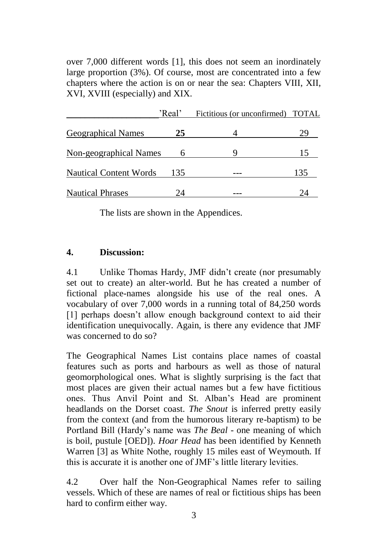over 7,000 different words [1], this does not seem an inordinately large proportion (3%). Of course, most are concentrated into a few chapters where the action is on or near the sea: Chapters VIII, XII, XVI, XVIII (especially) and XIX.

|                               | 'Real' | Fictitious (or unconfirmed) TOTAL |     |
|-------------------------------|--------|-----------------------------------|-----|
| <b>Geographical Names</b>     | 25     |                                   | 29  |
| <b>Non-geographical Names</b> |        |                                   | 15  |
| <b>Nautical Content Words</b> | 135    |                                   | 135 |
| <b>Nautical Phrases</b>       | 14     |                                   | 24  |

The lists are shown in the Appendices.

#### **4. Discussion:**

4.1 Unlike Thomas Hardy, JMF didn't create (nor presumably set out to create) an alter-world. But he has created a number of fictional place-names alongside his use of the real ones. A vocabulary of over 7,000 words in a running total of 84,250 words [1] perhaps doesn't allow enough background context to aid their identification unequivocally. Again, is there any evidence that JMF was concerned to do so?

The Geographical Names List contains place names of coastal features such as ports and harbours as well as those of natural geomorphological ones. What is slightly surprising is the fact that most places are given their actual names but a few have fictitious ones. Thus Anvil Point and St. Alban's Head are prominent headlands on the Dorset coast. *The Snout* is inferred pretty easily from the context (and from the humorous literary re-baptism) to be Portland Bill (Hardy's name was *The Beal* - one meaning of which is boil, pustule [OED]). *Hoar Head* has been identified by Kenneth Warren [3] as White Nothe, roughly 15 miles east of Weymouth. If this is accurate it is another one of JMF's little literary levities.

4.2 Over half the Non-Geographical Names refer to sailing vessels. Which of these are names of real or fictitious ships has been hard to confirm either way.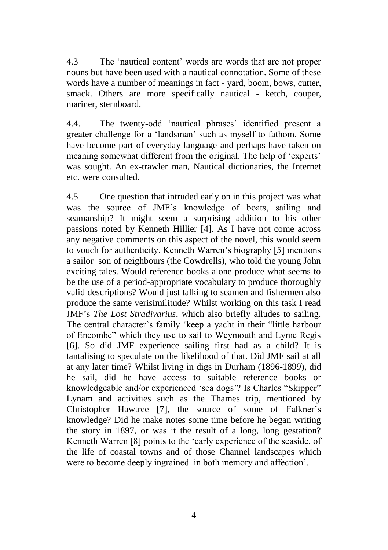4.3 The 'nautical content' words are words that are not proper nouns but have been used with a nautical connotation. Some of these words have a number of meanings in fact - yard, boom, bows, cutter, smack. Others are more specifically nautical - ketch, couper, mariner, sternboard.

4.4. The twenty-odd 'nautical phrases' identified present a greater challenge for a 'landsman' such as myself to fathom. Some have become part of everyday language and perhaps have taken on meaning somewhat different from the original. The help of 'experts' was sought. An ex-trawler man, Nautical dictionaries, the Internet etc. were consulted.

4.5 One question that intruded early on in this project was what was the source of JMF's knowledge of boats, sailing and seamanship? It might seem a surprising addition to his other passions noted by Kenneth Hillier [4]. As I have not come across any negative comments on this aspect of the novel, this would seem to vouch for authenticity. Kenneth Warren's biography [5] mentions a sailor son of neighbours (the Cowdrells), who told the young John exciting tales. Would reference books alone produce what seems to be the use of a period-appropriate vocabulary to produce thoroughly valid descriptions? Would just talking to seamen and fishermen also produce the same verisimilitude? Whilst working on this task I read JMF's *The Lost Stradivarius*, which also briefly alludes to sailing. The central character's family 'keep a yacht in their "little harbour of Encombe" which they use to sail to Weymouth and Lyme Regis [6]. So did JMF experience sailing first had as a child? It is tantalising to speculate on the likelihood of that. Did JMF sail at all at any later time? Whilst living in digs in Durham (1896-1899), did he sail, did he have access to suitable reference books or knowledgeable and/or experienced 'sea dogs'? Is Charles "Skipper" Lynam and activities such as the Thames trip, mentioned by Christopher Hawtree [7], the source of some of Falkner's knowledge? Did he make notes some time before he began writing the story in 1897, or was it the result of a long, long gestation? Kenneth Warren [8] points to the 'early experience of the seaside, of the life of coastal towns and of those Channel landscapes which were to become deeply ingrained in both memory and affection'.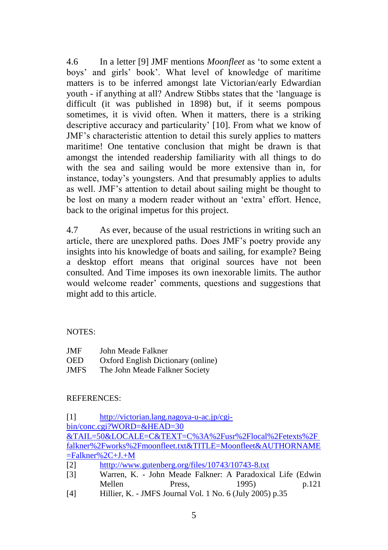4.6 In a letter [9] JMF mentions *Moonfleet* as 'to some extent a boys' and girls' book'. What level of knowledge of maritime matters is to be inferred amongst late Victorian/early Edwardian youth - if anything at all? Andrew Stibbs states that the 'language is difficult (it was published in 1898) but, if it seems pompous sometimes, it is vivid often. When it matters, there is a striking descriptive accuracy and particularity' [10]. From what we know of JMF's characteristic attention to detail this surely applies to matters maritime! One tentative conclusion that might be drawn is that amongst the intended readership familiarity with all things to do with the sea and sailing would be more extensive than in, for instance, today's youngsters. And that presumably applies to adults as well. JMF's attention to detail about sailing might be thought to be lost on many a modern reader without an 'extra' effort. Hence, back to the original impetus for this project.

4.7 As ever, because of the usual restrictions in writing such an article, there are unexplored paths. Does JMF's poetry provide any insights into his knowledge of boats and sailing, for example? Being a desktop effort means that original sources have not been consulted. And Time imposes its own inexorable limits. The author would welcome reader' comments, questions and suggestions that might add to this article.

#### NOTES:

| JMF         | John Meade Falkner                 |
|-------------|------------------------------------|
| <b>OED</b>  | Oxford English Dictionary (online) |
| <b>JMFS</b> | The John Meade Falkner Society     |

#### REFERENCES:

[1] [http://victorian.lang.nagoya-u-ac.jp/cgi](http://victorian.lang.nagoya-u-ac.jp/cgi-bin/conc.cgi?WORD=&HEAD=30)[bin/conc.cgi?WORD=&HEAD=30](http://victorian.lang.nagoya-u-ac.jp/cgi-bin/conc.cgi?WORD=&HEAD=30)  &TAIL=50&LOCALE=C&TEXT=C%3A%2Fusr%2Flocal%2Fetexts%2F falkner%2Fworks%2Fmoonfleet.txt&TITLE=Moonfleet&AUTHORNAME  $=$ Falkner%2C+J.+M [2] htttp://www.gutenberg.org/files/10743/10743-8.txt [3] Warren, K. - John Meade Falkner: A Paradoxical Life (Edwin Mellen Press, 1995) p.121

[4] Hillier, K. - JMFS Journal Vol. 1 No. 6 (July 2005) p.35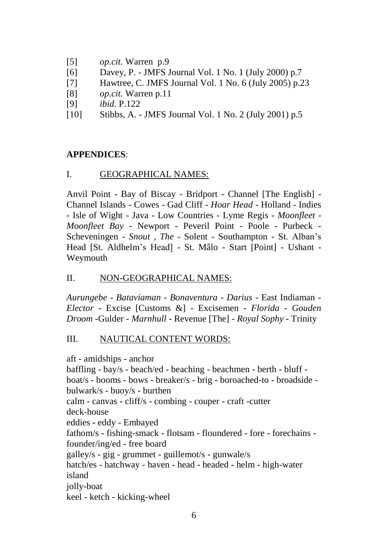- [5] *op.cit.* Warren p.9
- [6] Davey, P. JMFS Journal Vol. 1 No. 1 (July 2000) p.7
- [7] Hawtree, C. JMFS Journal Vol. 1 No. 6 (July 2005) p.23
- [8] *op.cit.* Warren p.11
- [9] *ibid*. P.122
- [10] Stibbs, A. JMFS Journal Vol. 1 No. 2 (July 2001) p.5

## **APPENDICES**:

## I. GEOGRAPHICAL NAMES:

Anvil Point - Bay of Biscay - Bridport - Channel [The English] - Channel Islands - Cowes - Gad Cliff - *Hoar Head* - Holland - Indies - Isle of Wight - Java - Low Countries - Lyme Regis - *Moonfleet* - *Moonfleet Bay* - Newport - Peveril Point - Poole - Purbeck - Scheveningen - *Snout , The* - Solent - Southampton - St. Alban's Head [St. Aldhelm's Head] - St. Mâlo - Start [Point] - Ushant - Weymouth

# II. NON-GEOGRAPHICAL NAMES:

*Aurungebe - Bataviaman - Bonaventura - Darius* - East Indiaman - *Elector* - Excise [Customs &] - Excisemen - *Florida - Gouden Droom -*Gulder *- Marnhull* - Revenue [The] - *Royal Sophy* - Trinity

# III. NAUTICAL CONTENT WORDS:

aft - amidships - anchor baffling - bay/s - beach/ed - beaching - beachmen - berth - bluff boat/s - booms - bows - breaker/s - brig - boroached-to - broadside bulwark/s - buoy/s - burthen calm - canvas - cliff/s - combing - couper - craft -cutter deck-house eddies - eddy - Embayed fathom/s - fishing-smack - flotsam - floundered - fore - forechains founder/ing/ed - free board galley/s - gig - grummet - guillemot/s - gunwale/s hatch/es - hatchway - haven - head - headed - helm - high-water island jolly-boat keel - ketch - kicking-wheel